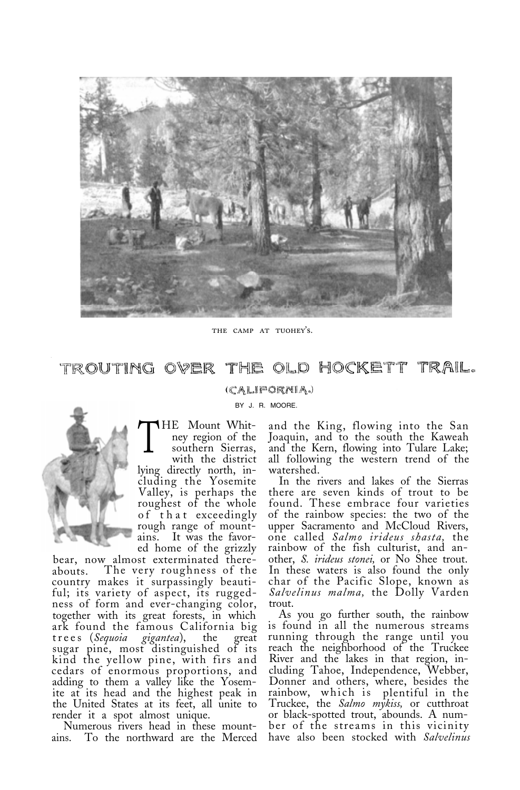

THE CAMP AT TUOHEY'S.

TROUTING OVER THE OLD HOCKETT TRAIL.

## (CALIFORNIA.)

BY J. R. MOORE.



**HE** Mount Whitney region of the southern Sierras, with the district lying directly north, including the Yosemite Valley, is perhaps the roughest of the whole<br>of that exceedingly rough range of mountains. It was the favored home of the grizzly

bear, now almost exterminated there-<br>abouts. The very roughness of the The very roughness of the country makes it surpassingly beautiful; its variety of aspect, its ruggedness of form and ever-changing color, together with its great forests, in which ark found the famous California big<br>trees (Sequoia gigantea), the great trees (*Sequoia*) sugar pine, most distinguished of its kind the yellow pine, with firs and cedars of enormous proportions, and adding to them a valley like the Yosemite at its head and the highest peak in the United States at its feet, all unite to

render it a spot almost unique. Numerous rivers head in these mount-To the northward are the Merced

and the King, flowing into the San Joaquin, and to the south the Kaweah and the Kern, flowing into Tulare Lake; all following the western trend of the watershed.

In the rivers and lakes of the Sierras there are seven kinds of trout to be found. These embrace four varieties of the rainbow species: the two of the upper Sacramento and McCloud Rivers, one called *Salmo irideus shasta,* the rainbow of the fish culturist, and another, *S. irideus stonei,* or No Shee trout. In these waters is also found the only char of the Pacific Slope, known as *Salvelinus malma,* the Dolly Varden trout.

As you go further south, the rainbow is found in all the numerous streams running through the range until you reach the neighborhood of the Truckee River and the lakes in that region, including Tahoe, Independence, Webber, Donner and others, where, besides the rainbow, which is plentiful in the Truckee, the *Salmo mykiss,* or cutthroat or black-spotted trout, abounds. A number of the streams in this vicinity have also been stocked with *Salvelinus*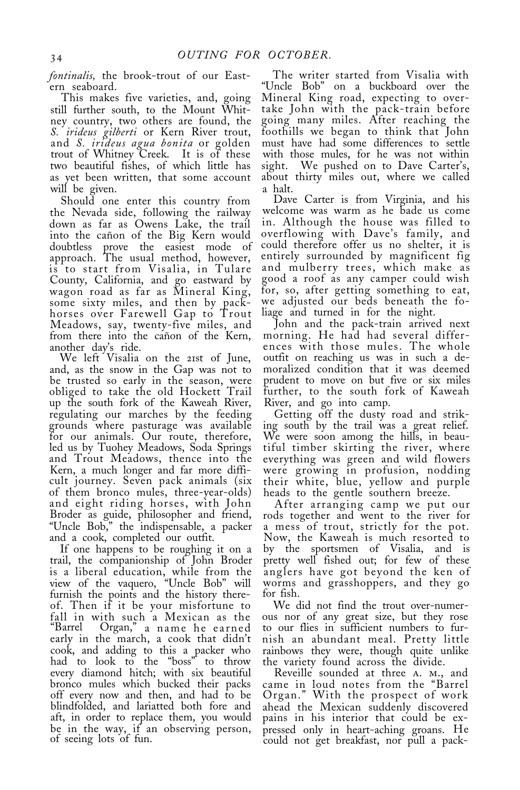*fontinalis,* the brook-trout of our Eastern seaboard.

This makes five varieties, and, going still further south, to the Mount Whitney country, two others are found, the *S. irideus gilberti* or Kern River trout, and *S. irideus agua bonita* or golden trout of Whitney Creek. It is of these two beautiful fishes, of which little has as yet been written, that some account will be given.

Should one enter this country from the Nevada side, following the railway down as far as Owens Lake, the trail into the cañon of the Big Kern would doubtless prove the easiest mode of approach. The usual method, however, is to start from Visalia, in Tulare County, California, and go eastward by wagon road as far as Mineral King, some sixty miles, and then by packhorses over Farewell Gap to Trout Meadows, say, twenty-five miles, and from there into the cañon of the Kern, another day's ride.

We left Visalia on the 21st of June, and, as the snow in the Gap was not to be trusted so early in the season, were obliged to take the old Hockett Trail up the south fork of the Kaweah River, regulating our marches by the feeding grounds where pasturage was available for our animals. Our route, therefore, led us by Tuohey Meadows, Soda Springs and Trout Meadows, thence into the Kern, a much longer and far more difficult journey. Seven pack animals (six of them bronco mules, three-year-olds) and eight riding horses, with John Broder as guide, philosopher and friend, "Uncle Bob," the indispensable, a packer and a cook, completed our outfit.

If one happens to be roughing it on a trail, the companionship of John Broder is a liberal education, while from the view of the vaquero, "Uncle Bob" will furnish the points and the history thereof. Then if it be your misfortune to fall in with such a Mexican as the "Barrel Organ," a name he earned early in the march, a cook that didn't cook, and adding to this a packer who had to look to the "boss" to throw every diamond hitch; with six beautiful bronco mules which bucked their packs off every now and then, and had to be blindfolded, and lariatted both fore and aft, in order to replace them, you would be in the way, if an observing person, of seeing lots of fun.

The writer started from Visalia with "Uncle Bob" on a buckboard over the Mineral King road, expecting to overtake John with the pack-train before going many miles. After reaching the foothills we began to think that John must have had some differences to settle with those mules, for he was not within sight. We pushed on to Dave Carter's, about thirty miles out, where we called a halt.

Dave Carter is from Virginia, and his welcome was warm as he bade us come in. Although the house was filled to overflowing with Dave's family, and could therefore offer us no shelter, it is entirely surrounded by magnificent fig and mulberry trees, which make as good a roof as any camper could wish for, so, after getting something to eat, we adjusted our beds beneath the foliage and turned in for the night.

John and the pack-train arrived next morning. He had had several differences with those mules. The whole outfit on reaching us was in such a demoralized condition that it was deemed prudent to move on but five or six miles further, to the south fork of Kaweah River, and go into camp.

Getting off the dusty road and striking south by the trail was a great relief. We were soon among the hills, in beautiful timber skirting the river, where everything was green and wild flowers were growing in profusion, nodding their white, blue, yellow and purple

heads to the gentle southern breeze.<br>After arranging camp we put our After arranging camp we put our rods together and went to the river for a mess of trout, strictly for the pot. Now, the Kaweah is much resorted to by the sportsmen of Visalia, and is pretty well fished out; for few of these anglers have got beyond the ken of worms and grasshoppers, and they go for fish.

We did not find the trout over-numerous nor of any great size, but they rose to our flies in sufficient numbers to furnish an abundant meal. Pretty little rainbows they were, though quite unlike the variety found across the divide.

Reveille sounded at three a. m., and came in loud notes from the "Barrel Organ." With the prospect of work ahead the Mexican suddenly discovered pains in his interior that could be expressed only in heart-aching groans. He could not get breakfast, nor pull a pack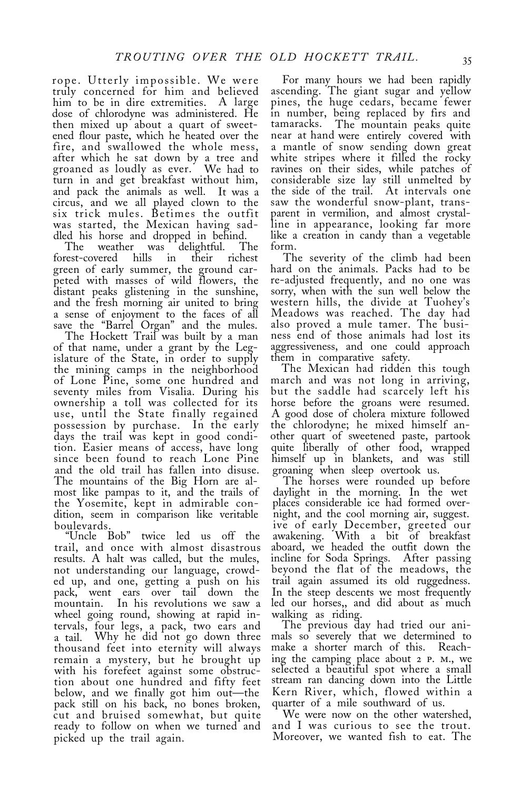rope. Utterly impossible. We were truly concerned for him and believed dose of chlorodyne was administered. He then mixed up about a quart of sweetened flour paste, which he heated over the fire, and swallowed the whole mess, after which he sat down by a tree and groaned as loudly as ever. We had to turn in and get breakfast without him, and pack the animals as well. It was a circus, and we all played clown to the six trick mules. Betimes the outfit was started, the Mexican having sad-

dled his horse and dropped in behind. The weather was delightful. The forest-covered hills in their richest green of early summer, the ground carpeted with masses of wild flowers, the distant peaks glistening in the sunshine, and the fresh morning air united to bring a sense of enjoyment to the faces of all save the "Barrel Organ" and the mules.

The Hockett Trail was built by a man of that name, under a grant by the Legislature of the State, in order to supply the mining camps in the neighborhood of Lone Pine, some one hundred and seventy miles from Visalia. During his use, until the State finally regained A good dose of cholera mixture followed possession by purchase. In the early days the trail was kept in good condition. Easier means of access, have long quite liberally of other food, wrapped and the old trail has fallen into disuse. groaning when sleep overtook us.<br>The mountains of the Big Horn are al-<br>most like pampas to it, and the trails of daylight in the morning. In the wet<br>the Yosemite, kept in admirable the Yosemite, kept in admirable con- places considerable ice had formed overdition, seem in comparison like veritable night, and the cool morning air, suggest.

results. A halt was called, but the mules, not understanding our language, crowded up, and one, getting a push on his trail again assumed its old ruggedness.<br>pack, went ears over tail down the In the steep descents we most frequently pack, went ears over tail down the mountain. In his revolutions we saw a wheel going round, showing at rapid intervals, four legs, a pack, two ears and The previous day had tried our ania tail. Why he did not go down three mals so severely that we determined to a tail. Why he did not go down three mals so severely that we determined to thousand feet into eternity will always make a shorter march of this. Reach-<br>remain a mystery, but he brought up ing the camping place about 2 P. remain a mystery, but he brought up ing the camping place about 2 p. m., we tion about one hundred and fifty feet stream ran dancing down into the Little below, and we finally got him out—the Kern River, which, flowed with pack still on his back, no bones broken, quarter of a mile southward of us. pack still on his back, no bones broken, quarter of a mile southward of us. cut and bruised somewhat, but quite We were now on the other watershed, ready to follow on when we turned and and I was curious to see the trout. ready to follow on when we turned and picked up the trail again. Moreover, we wanted fish to eat. The

For many hours we had been rapidly ascending. The giant sugar and yellow pines, the huge cedars, became fewer in number, being replaced by firs and tamaracks. The mountain peaks quite ks. The mountain peaks quite<br>hand were entirely covered with near at hand were entirely covered with<br>a mantle of snow sending down great white stripes where it filled the rocky ravines on their sides, while patches of considerable size lay still unmelted by the side of the trail. At intervals one saw the wonderful snow-plant, transparent in vermilion, and almost crystalline in appearance, looking far more like a creation in candy than a vegetable form.

 The severity of the climb had been hard on the animals. Packs had to be re-adjusted frequently, and no one was sorry, when with the sun well below the western hills, the divide at Tuohey's Meadows was reached. The day had also proved a mule tamer. The business end of those animals had lost its aggressiveness, and one could approach

The Mexican had ridden this tough march and was not long in arriving, but the saddle had scarcely left his horse before the groans were resumed. the chlorodyne; he mixed himself another quart of sweetened paste, partook

boulevards. ive of early December, greeted our "Uncle Bob" twice led us off the awakening. With a bit of breakfast aboard, we headed the outfit down the incline for Soda Springs. After passing beyond the flat of the meadows, the trail again assumed its old ruggedness. led our horses,, and did about as much

walking as riding. selected a beautiful spot where a small<br>stream ran dancing down into the Little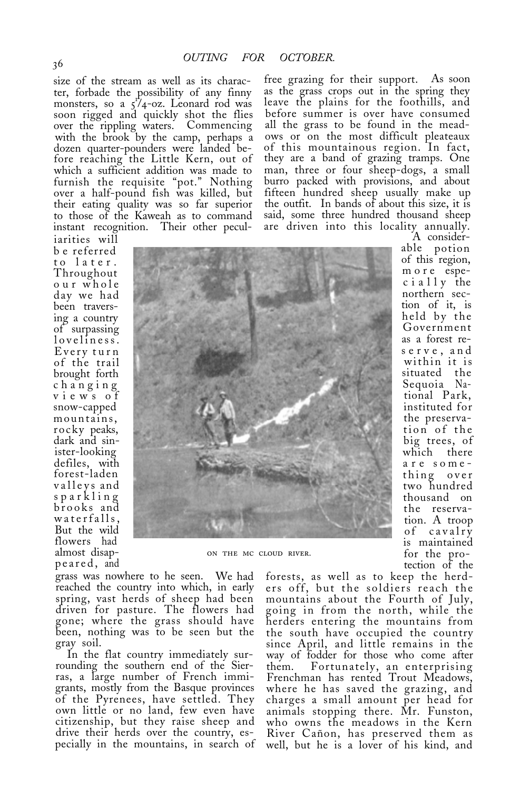ter, forbade the possibility of any finny monsters, so a  $5^{\circ}$ 

b e referred to later. Throughout our whole day we had been traversing a country of surpassing loveliness. Every turn of the trail brought forth changing views of snow-capped mountains, rocky peaks, dark and sinister-looking defiles, with forest-laden valleys and sparkling brooks and waterfalls, But the wild flowers had almost disapalmost disap-<br>
peared, and<br>  $\frac{1}{2}$  on the mc cloud river.

size of the stream as well as its charac- free grazing for their support. As soon<br>ter, forbade the possibility of any finny as the grass crops out in the spring they leave the plains for the foothills, and<br>before summer is over have consumed soon rigged and quickly shot the flies before summer is over have consumed over the rippling waters. Commencing all the grass to be found in the mead-<br>with the brook by the camp, perhaps a ows or on the most difficult pleateaux with the brook by the camp, perhaps a ows or on the most difficult pleateaux dozen quarter-pounders were landed be- of this mountainous region. In fact, dozen quarter-pounders were landed be- of this mountainous region. In fact, fore reaching the Little Kern, out of they are a band of grazing tramps. One they are a band of grazing tramps. One which a sufficient addition was made to man, three or four sheep-dogs, a small furnish the requisite "pot." Nothing burro packed with provisions, and about over a half-pound fish was killed, but fifteen hundred sheep usually make up their eating quality was so far superior the outfit. In bands of about this size, it is to those of the Kaweah as to command said, some three hundred thousand sheep



grass was nowhere to he seen. We had reached the country into which, in early spring, vast herds of sheep had been driven for pasture. The flowers had gone; where the grass should have been, nothing was to be seen but the gray soil.

In the flat country immediately sur- rounding the southern end of the Sierras, a large number of French immigrants, mostly from the Basque provinces of the Pyrenees, have settled. They own little or no land, few even have citizenship, but they raise sheep and drive their herds over the country, especially in the mountains, in search of

more espec i a  $11y$  the northern section of it, is held by the Government as a forest reserve, and within it is situated the Sequoia National Park, instituted for the preservation of the big trees, of which there are something over two hundred thousand on the reservation. A troop of cavalry is maintained for the protection of the

of this region,

forests, as well as to keep the herders off, but the soldiers reach the mountains about the Fourth of July, going in from the north, while the herders entering the mountains from the south have occupied the country since April, and little remains in the way of fodder for those who come after<br>them. Fortunately, an enterprising Frenchman has rented Trout Meadows, where he has saved the grazing, and charges a small amount per head for animals stopping there. Mr. Funston, who owns the meadows in the Kern River Cañon, has preserved them as well, but he is a lover of his kind, and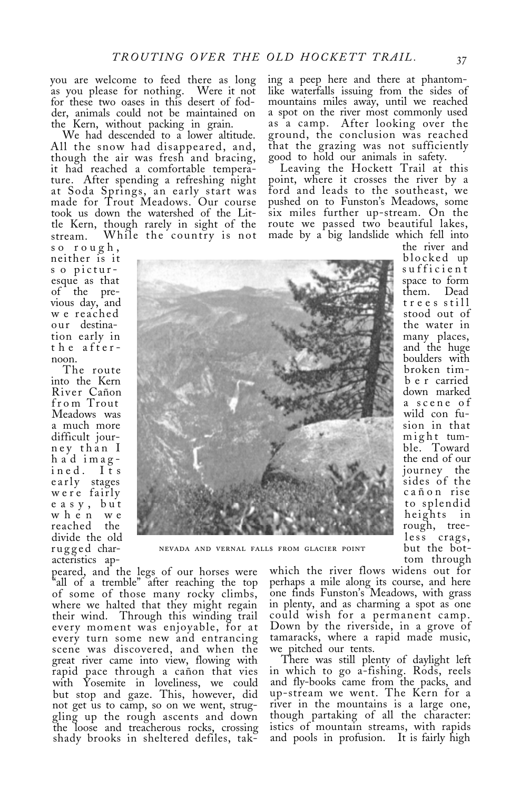you are welcome to feed there as long as you please for nothing. Were it not for these two oases in this desert of fodder, animals could not be maintained on the Kern, without packing in grain.

We had descended to a lower altitude. All the snow had disappeared, and, though the air was fresh and bracing, it had reached a comfortable temperature. After spending a refreshing night at Soda Springs, an early start was made for Trout Meadows. Our course took us down the watershed of the Little Kern, though rarely in sight of the stream. While the country is not

so rough, neither is it s o picturesque as that of the previous day, and w e reached our destination early in the after-

The route into the Kern River Cañon from Trout Meadows was a much more difficult journey than I h a d imagined. Its<br>early stages were fairly e a s y , but when we reached the divide the old rugged characteristics ap-



NEVADA AND VERNAL FALLS FROM GLACIER POINT

peared, and the legs of our horses were "all of a tremble" after reaching the top of some of those many rocky climbs, where we halted that they might regain their wind. Through this winding trail every moment was enjoyable, for at every turn some new and entrancing scene was discovered, and when the great river came into view, flowing with rapid pace through a cañon that vies with Yosemite in loveliness, we could but stop and gaze. This, however, did not get us to camp, so on we went, struggling up the rough ascents and down the loose and treacherous rocks, crossing shady brooks in sheltered defiles, tak-

which the river flows widens out for perhaps a mile along its course, and here one finds Funston's Meadows, with grass in plenty, and as charming a spot as one could wish for a permanent camp. Down by the riverside, in a grove of tamaracks, where a rapid made music, we pitched our tents.

There was still plenty of daylight left in which to go a-fishing. Rods, reels and fly-books came from the packs, and up-stream we went. The Kern for a river in the mountains is a large one, though partaking of all the character: istics of mountain streams, with rapids and pools in profusion. It is fairly high

ing a peep here and there at phantomlike waterfalls issuing from the sides of mountains miles away, until we reached a spot on the river most commonly used as a camp. After looking over the ground, the conclusion was reached that the grazing was not sufficiently good to hold our animals in safety.

Leaving the Hockett Trail at this point, where it crosses the river by a ford and leads to the southeast, we pushed on to Funston's Meadows, some six miles further up-stream. On the route we passed two beautiful lakes, made by a big landslide which fell into

the river and blocked up<br>sufficient space to form them. Dead trees still stood out of the water in many places, and the huge boulders with broken timb e r carried down marked a scene of wild con fusion in that might tumble. Toward the end of our journey the sides of the cañon rise to splendid heights in

rough, treeless crags,<br>but the bottom through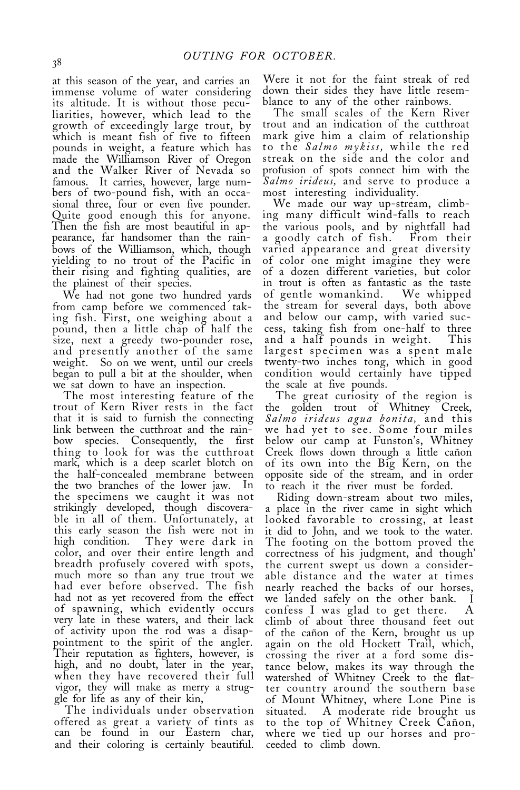at this season of the year, and carries an immense volume of water considering its altitude. It is without those peculiarities, however, which lead to the growth of exceedingly large trout, by which is meant fish of five to fifteen pounds in weight, a feature which has made the Williamson River of Oregon and the Walker River of Nevada so famous. It carries, however, large numbers of two-pound fish, with an occasional three, four or even five pounder. Quite good enough this for anyone. Then the fish are most beautiful in appearance, far handsomer than the rainbows of the Williamson, which, though yielding to no trout of the Pacific in their rising and fighting qualities, are the plainest of their species.

We had not gone two hundred yards from camp before we commenced taking fish. First, one weighing about a pound, then a little chap of half the size, next a greedy two-pounder rose, and presently another of the same weight. So on we went, until our creels began to pull a bit at the shoulder, when we sat down to have an inspection.

The most interesting feature of the trout of Kern River rests in the fact that it is said to furnish the connecting link between the cutthroat and the rainbow species. Consequently, the first thing to look for was the cutthroat mark, which is a deep scarlet blotch on the half-concealed membrane between the two branches of the lower jaw. In the specimens we caught it was not strikingly developed, though discoverable in all of them. Unfortunately, at this early season the fish were not in<br>high condition. They were dark in high condition. They were dark in color, and over their entire length and breadth profusely covered with spots, much more so than any true trout we had ever before observed. The fish had not as yet recovered from the effect of spawning, which evidently occurs very late in these waters, and their lack of activity upon the rod was a disappointment to the spirit of the angler. Their reputation as fighters, however, is high, and no doubt, later in the year, when they have recovered their full vigor, they will make as merry a struggle for life as any of their kin,

The individuals under observation offered as great a variety of tints as can be found in our Eastern char, and their coloring is certainly beautiful.

Were it not for the faint streak of red down their sides they have little resemblance to any of the other rainbows.

The small scales of the Kern River trout and an indication of the cutthroat mark give him a claim of relationship to the *Salmo mykiss,* while the red streak on the side and the color and profusion of spots connect him with the *Salmo irideus,* and serve to produce a most interesting individuality.

We made our way up-stream, climbing many difficult wind-falls to reach the various pools, and by nightfall had a goodly catch of fish. From their varied appearance and great diversity of color one might imagine they were of a dozen different varieties, but color in trout is often as fantastic as the taste of gentle womankind. We whipped the stream for several days, both above and below our camp, with varied success, taking fish from one-half to three and a half pounds in weight. This largest specimen was a spent male twenty-two inches tong, which in good condition would certainly have tipped the scale at five pounds.

The great curiosity of the region is the golden trout of Whitney Creek, *Salmo irideus agua bonita,* and this we had yet to see. Some four miles below our camp at Funston's, Whitney Creek flows down through a little cañon of its own into the Big Kern, on the opposite side of the stream, and in order to reach it the river must be forded.

Riding down-stream about two miles, a place in the river came in sight which looked favorable to crossing, at least it did to John, and we took to the water. The footing on the bottom proved the correctness of his judgment, and though' the current swept us down a considerable distance and the water at times nearly reached the backs of our horses, we landed safely on the other bank. confess I was glad to get there. A climb of about three thousand feet out of the cañon of the Kern, brought us up again on the old Hockett Trail, which, crossing the river at a ford some distance below, makes its way through the watershed of Whitney Creek to the flatter country around the southern base of Mount Whitney, where Lone Pine is situated. A moderate ride brought us to the top of Whitney Creek Cañon, where we tied up our horses and proceeded to climb down.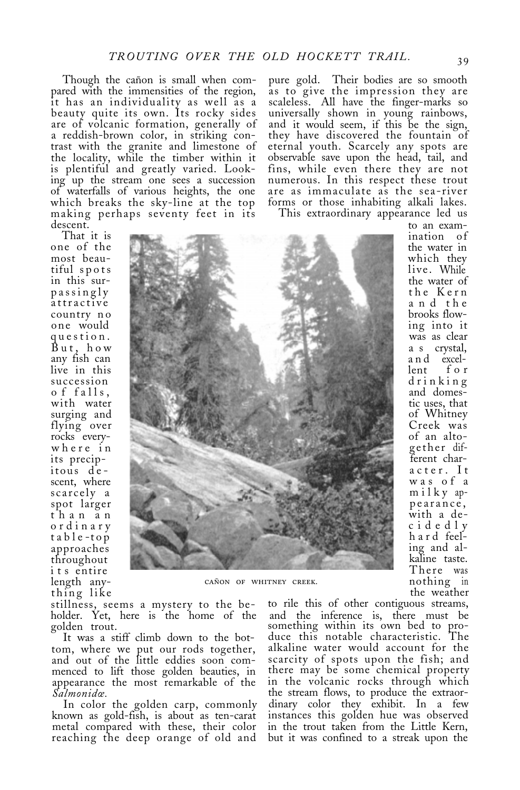Though the cañon is small when compared with the immensities of the region, it has an individuality as well as a beauty quite its own. Its rocky sides are of volcanic formation, generally of a reddish-brown color, in striking contrast with the granite and limestone of the locality, while the timber within it is plentiful and greatly varied. Looking up the stream one sees a succession of waterfalls of various heights, the one which breaks the sky-line at the top making perhaps seventy feet in its descent.

pure gold. Their bodies are so smooth as to give the impression they are scaleless. All have the finger-marks so universally shown in young rainbows, they have discovered the fountain of eternal youth. Scarcely any spots are observable save upon the head, tail, and fins, while even there they are not numerous. In this respect these trout are as immaculate as the sea-river forms or those inhabiting alkali lakes.

This extraordinary appearance led us

That it is one of the most beauin this surpassingly attractive country no one would question. But, how any fish can live in this succession o f falls, with water surging and flying over rocks everywhere in its precipitous descent, where scarcely a spot larger than an ordinary t a b l e -top approaches throughout its entire length any-<br>thing like



stillness, seems a mystery to the be- to rile this of other contiguous streams, holder. Yet, here is the home of the and the inference is, there must be holder. Yet, here is the home of the and the inference is, there must be golden trout.<br>something within its own bed to pro-

It was a stiff climb down to the bot- duce this notable characteristic. The tom, where we put our rods together, and out of the little eddies soon commenced to lift those golden beauties, in there may be some chemical property<br>appearance the most remarkable of the in the volcanic rocks through which appearance the most remarkable of the

known as gold-fish, is about as ten-carat metal compared with these, their color reaching the deep orange of old and but it was confined to a streak upon the

thing like the weather<br>stillness, seems a mystery to the be- to rile this of other contiguous streams, and the merched to pro-<br>something within its own bed to pro-<br>duce this notable characteristic. The scarcity of spots upon the fish; and<br>there may be some chemical property *Salmonida*.<br>In color the golden carp, commonly dinary color they exhibit. In a few dinary color they exhibit. In a few instances this golden hue was observed in the trout taken from the Little Kern,

to an examination of the water in which they live. While the water of the Kern a n d the brooks flowing into it was as clear a s crystal, and excel-<br>lent for lent for drinking and domestic uses, that of Whitney Creek was of an altogether different character. It was of a milky appearance, with a decidedly hard feeling and alkaline taste. There was nothing in